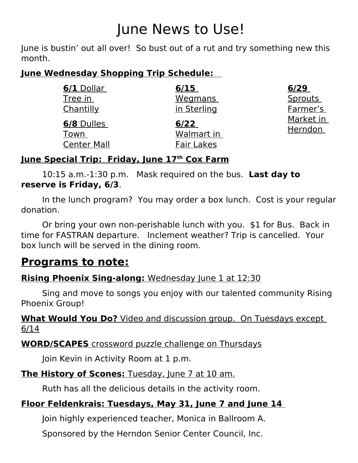# June News to Use!

June is bustin' out all over! So bust out of a rut and try something new this month.

# **June Wednesday Shopping Trip Schedule:**

| 6/1 Dollar<br>Tree in<br>Chantilly       | 6/15<br><b>Wegmans</b><br>in Sterling   | 6/29<br><b>Sprouts</b><br>Farmer's<br>Market in<br>Herndon |
|------------------------------------------|-----------------------------------------|------------------------------------------------------------|
| 6/8 Dulles<br>Town<br><b>Center Mall</b> | 6/22<br>Walmart in<br><b>Fair Lakes</b> |                                                            |

### **June Special Trip : Friday, June 17th Cox Farm**

10:15 a.m.-1:30 p.m. Mask required on the bus. **Last day to reserve is Friday, 6/3**.

In the lunch program? You may order a box lunch. Cost is your regular donation.

Or bring your own non-perishable lunch with you. \$1 for Bus. Back in time for FASTRAN departure. Inclement weather? Trip is cancelled. Your box lunch will be served in the dining room.

# **Programs to note:**

# **Rising Phoenix Sing-along:** Wednesday June 1 at 12:30

Sing and move to songs you enjoy with our talented community Rising Phoenix Group!

 **What Would You Do?** Video and discussion group. On Tuesdays except 6/14

**WORD/SCAPES** crossword puzzle challenge on Thursdays

Join Kevin in Activity Room at 1 p.m.

### **The History of Scones:** Tuesday, June 7 at 10 am.

Ruth has all the delicious details in the activity room.

# **Floor Feldenkrais: Tuesdays, May 31, June 7 and June 14**

Join highly experienced teacher, Monica in Ballroom A.

Sponsored by the Herndon Senior Center Council, Inc.